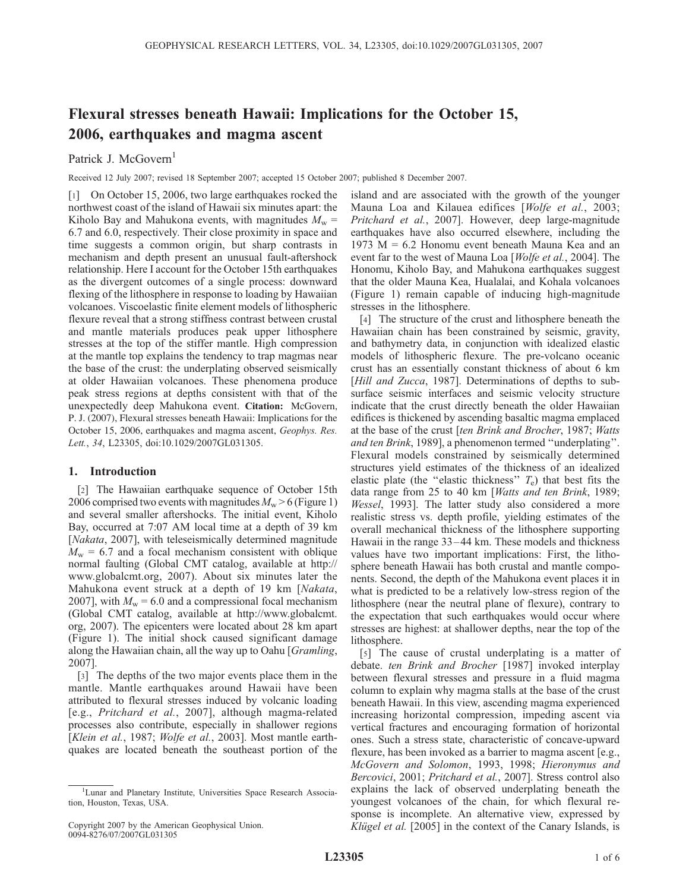# Flexural stresses beneath Hawaii: Implications for the October 15, 2006, earthquakes and magma ascent

Patrick J. McGovern<sup>1</sup>

Received 12 July 2007; revised 18 September 2007; accepted 15 October 2007; published 8 December 2007.

[1] On October 15, 2006, two large earthquakes rocked the northwest coast of the island of Hawaii six minutes apart: the Kiholo Bay and Mahukona events, with magnitudes  $M_w =$ 6.7 and 6.0, respectively. Their close proximity in space and time suggests a common origin, but sharp contrasts in mechanism and depth present an unusual fault-aftershock relationship. Here I account for the October 15th earthquakes as the divergent outcomes of a single process: downward flexing of the lithosphere in response to loading by Hawaiian volcanoes. Viscoelastic finite element models of lithospheric flexure reveal that a strong stiffness contrast between crustal and mantle materials produces peak upper lithosphere stresses at the top of the stiffer mantle. High compression at the mantle top explains the tendency to trap magmas near the base of the crust: the underplating observed seismically at older Hawaiian volcanoes. These phenomena produce peak stress regions at depths consistent with that of the unexpectedly deep Mahukona event. Citation: McGovern, P. J. (2007), Flexural stresses beneath Hawaii: Implications for the October 15, 2006, earthquakes and magma ascent, Geophys. Res. Lett., 34, L23305, doi:10.1029/2007GL031305.

## 1. Introduction

[2] The Hawaiian earthquake sequence of October 15th 2006 comprised two events with magnitudes  $M_w > 6$  (Figure 1) and several smaller aftershocks. The initial event, Kiholo Bay, occurred at 7:07 AM local time at a depth of 39 km [*Nakata*, 2007], with teleseismically determined magnitude  $M_w = 6.7$  and a focal mechanism consistent with oblique normal faulting (Global CMT catalog, available at http:// www.globalcmt.org, 2007). About six minutes later the Mahukona event struck at a depth of 19 km [Nakata, 2007], with  $M_w = 6.0$  and a compressional focal mechanism (Global CMT catalog, available at http://www.globalcmt. org, 2007). The epicenters were located about 28 km apart (Figure 1). The initial shock caused significant damage along the Hawaiian chain, all the way up to Oahu [*Gramling*, 2007].

[3] The depths of the two major events place them in the mantle. Mantle earthquakes around Hawaii have been attributed to flexural stresses induced by volcanic loading [e.g., Pritchard et al., 2007], although magma-related processes also contribute, especially in shallower regions [Klein et al., 1987; Wolfe et al., 2003]. Most mantle earthquakes are located beneath the southeast portion of the island and are associated with the growth of the younger Mauna Loa and Kilauea edifices [Wolfe et al., 2003; Pritchard et al., 2007]. However, deep large-magnitude earthquakes have also occurred elsewhere, including the 1973 M = 6.2 Honomu event beneath Mauna Kea and an event far to the west of Mauna Loa [*Wolfe et al.*, 2004]. The Honomu, Kiholo Bay, and Mahukona earthquakes suggest that the older Mauna Kea, Hualalai, and Kohala volcanoes (Figure 1) remain capable of inducing high-magnitude stresses in the lithosphere.

[4] The structure of the crust and lithosphere beneath the Hawaiian chain has been constrained by seismic, gravity, and bathymetry data, in conjunction with idealized elastic models of lithospheric flexure. The pre-volcano oceanic crust has an essentially constant thickness of about 6 km [Hill and Zucca, 1987]. Determinations of depths to subsurface seismic interfaces and seismic velocity structure indicate that the crust directly beneath the older Hawaiian edifices is thickened by ascending basaltic magma emplaced at the base of the crust [ten Brink and Brocher, 1987; Watts and ten Brink, 1989], a phenomenon termed ''underplating''. Flexural models constrained by seismically determined structures yield estimates of the thickness of an idealized elastic plate (the "elastic thickness"  $T_e$ ) that best fits the data range from 25 to 40 km [Watts and ten Brink, 1989; Wessel, 1993]. The latter study also considered a more realistic stress vs. depth profile, yielding estimates of the overall mechanical thickness of the lithosphere supporting Hawaii in the range 33–44 km. These models and thickness values have two important implications: First, the lithosphere beneath Hawaii has both crustal and mantle components. Second, the depth of the Mahukona event places it in what is predicted to be a relatively low-stress region of the lithosphere (near the neutral plane of flexure), contrary to the expectation that such earthquakes would occur where stresses are highest: at shallower depths, near the top of the lithosphere.

[5] The cause of crustal underplating is a matter of debate. ten Brink and Brocher [1987] invoked interplay between flexural stresses and pressure in a fluid magma column to explain why magma stalls at the base of the crust beneath Hawaii. In this view, ascending magma experienced increasing horizontal compression, impeding ascent via vertical fractures and encouraging formation of horizontal ones. Such a stress state, characteristic of concave-upward flexure, has been invoked as a barrier to magma ascent [e.g., McGovern and Solomon, 1993, 1998; Hieronymus and Bercovici, 2001; Pritchard et al., 2007]. Stress control also explains the lack of observed underplating beneath the youngest volcanoes of the chain, for which flexural response is incomplete. An alternative view, expressed by Klügel et al. [2005] in the context of the Canary Islands, is

<sup>&</sup>lt;sup>1</sup>Lunar and Planetary Institute, Universities Space Research Association, Houston, Texas, USA.

Copyright 2007 by the American Geophysical Union. 0094-8276/07/2007GL031305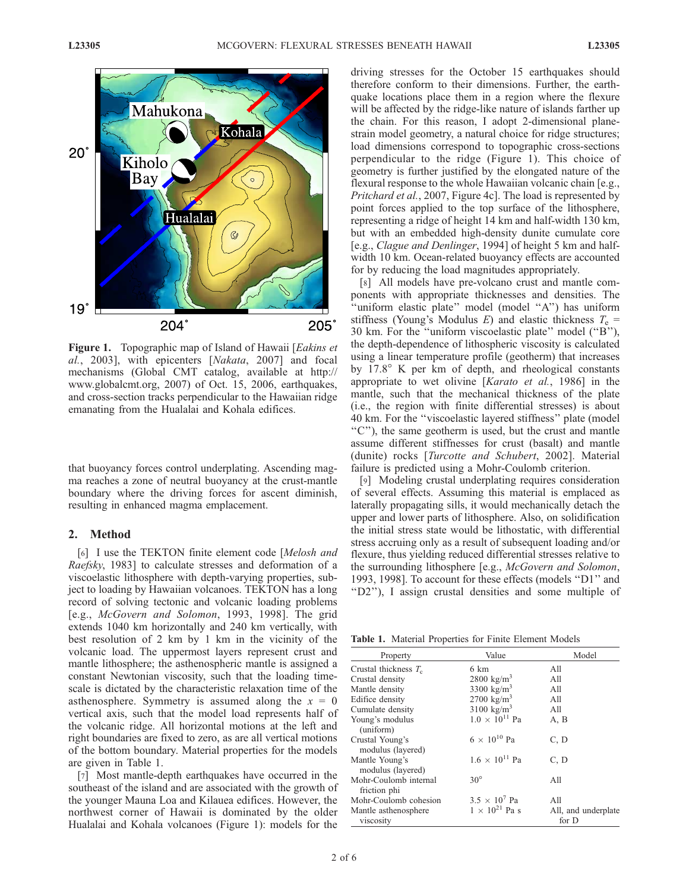

Figure 1. Topographic map of Island of Hawaii [Eakins et al., 2003], with epicenters [Nakata, 2007] and focal mechanisms (Global CMT catalog, available at http:// www.globalcmt.org, 2007) of Oct. 15, 2006, earthquakes, and cross-section tracks perpendicular to the Hawaiian ridge emanating from the Hualalai and Kohala edifices.

that buoyancy forces control underplating. Ascending magma reaches a zone of neutral buoyancy at the crust-mantle boundary where the driving forces for ascent diminish, resulting in enhanced magma emplacement.

### 2. Method

[6] I use the TEKTON finite element code [Melosh and Raefsky, 1983] to calculate stresses and deformation of a viscoelastic lithosphere with depth-varying properties, subject to loading by Hawaiian volcanoes. TEKTON has a long record of solving tectonic and volcanic loading problems [e.g., McGovern and Solomon, 1993, 1998]. The grid extends 1040 km horizontally and 240 km vertically, with best resolution of 2 km by 1 km in the vicinity of the volcanic load. The uppermost layers represent crust and mantle lithosphere; the asthenospheric mantle is assigned a constant Newtonian viscosity, such that the loading timescale is dictated by the characteristic relaxation time of the asthenosphere. Symmetry is assumed along the  $x = 0$ vertical axis, such that the model load represents half of the volcanic ridge. All horizontal motions at the left and right boundaries are fixed to zero, as are all vertical motions of the bottom boundary. Material properties for the models are given in Table 1.

[7] Most mantle-depth earthquakes have occurred in the southeast of the island and are associated with the growth of the younger Mauna Loa and Kilauea edifices. However, the northwest corner of Hawaii is dominated by the older Hualalai and Kohala volcanoes (Figure 1): models for the

driving stresses for the October 15 earthquakes should therefore conform to their dimensions. Further, the earthquake locations place them in a region where the flexure will be affected by the ridge-like nature of islands farther up the chain. For this reason, I adopt 2-dimensional planestrain model geometry, a natural choice for ridge structures; load dimensions correspond to topographic cross-sections perpendicular to the ridge (Figure 1). This choice of geometry is further justified by the elongated nature of the flexural response to the whole Hawaiian volcanic chain [e.g., Pritchard et al., 2007, Figure 4c]. The load is represented by point forces applied to the top surface of the lithosphere, representing a ridge of height 14 km and half-width 130 km, but with an embedded high-density dunite cumulate core [e.g., Clague and Denlinger, 1994] of height 5 km and halfwidth 10 km. Ocean-related buoyancy effects are accounted for by reducing the load magnitudes appropriately.

[8] All models have pre-volcano crust and mantle components with appropriate thicknesses and densities. The "uniform elastic plate" model (model "A") has uniform stiffness (Young's Modulus E) and elastic thickness  $T_e$  = 30 km. For the ''uniform viscoelastic plate'' model (''B''), the depth-dependence of lithospheric viscosity is calculated using a linear temperature profile (geotherm) that increases by  $17.8^\circ$  K per km of depth, and rheological constants appropriate to wet olivine [Karato et al., 1986] in the mantle, such that the mechanical thickness of the plate (i.e., the region with finite differential stresses) is about 40 km. For the ''viscoelastic layered stiffness'' plate (model ''C''), the same geotherm is used, but the crust and mantle assume different stiffnesses for crust (basalt) and mantle (dunite) rocks [Turcotte and Schubert, 2002]. Material failure is predicted using a Mohr-Coulomb criterion.

[9] Modeling crustal underplating requires consideration of several effects. Assuming this material is emplaced as laterally propagating sills, it would mechanically detach the upper and lower parts of lithosphere. Also, on solidification the initial stress state would be lithostatic, with differential stress accruing only as a result of subsequent loading and/or flexure, thus yielding reduced differential stresses relative to the surrounding lithosphere [e.g., McGovern and Solomon, 1993, 1998]. To account for these effects (models ''D1'' and ''D2''), I assign crustal densities and some multiple of

| Table 1. Material Properties for Finite Element Models |  |  |  |
|--------------------------------------------------------|--|--|--|
|--------------------------------------------------------|--|--|--|

| Property                              | Value                   | Model                        |
|---------------------------------------|-------------------------|------------------------------|
| Crustal thickness $T_c$               | 6 km                    | A11                          |
| Crustal density                       | 2800 $\text{kg/m}^3$    | A11                          |
| Mantle density                        | 3300 $\text{kg/m}^3$    | A11                          |
| Edifice density                       | $2700 \text{ kg/m}^3$   | A11                          |
| Cumulate density                      | $3100 \text{ kg/m}^3$   | A11                          |
| Young's modulus<br>(uniform)          | $1.0 \times 10^{11}$ Pa | A, B                         |
| Crustal Young's<br>modulus (layered)  | $6 \times 10^{10}$ Pa   | C, D                         |
| Mantle Young's<br>modulus (layered)   | $1.6 \times 10^{11}$ Pa | C, D                         |
| Mohr-Coulomb internal<br>friction phi | $30^\circ$              | All                          |
| Mohr-Coulomb cohesion                 | $3.5 \times 10^7$ Pa    | A11                          |
| Mantle asthenosphere<br>viscosity     | $1 \times 10^{21}$ Pa s | All, and underplate<br>for D |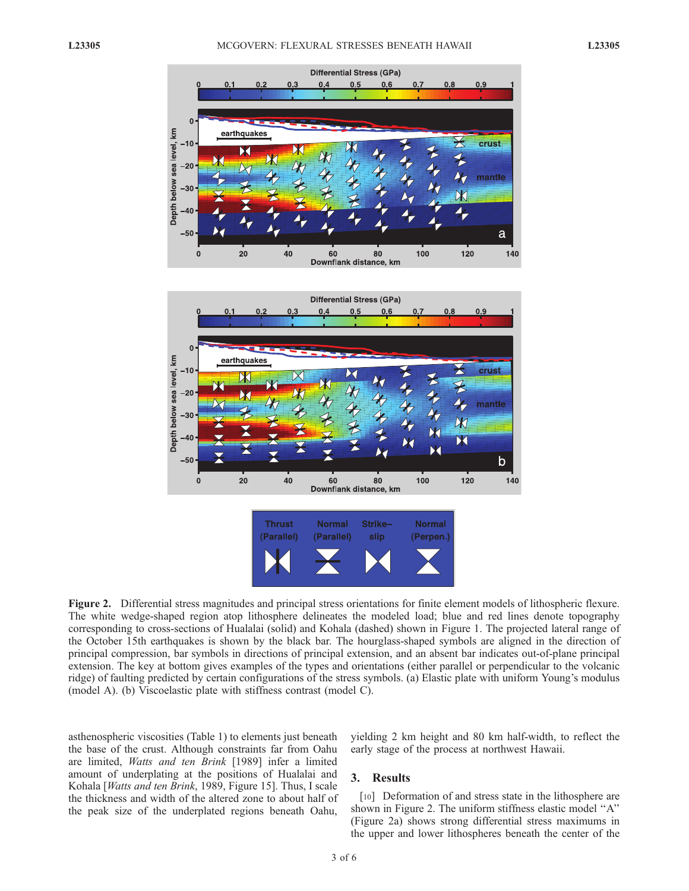



Figure 2. Differential stress magnitudes and principal stress orientations for finite element models of lithospheric flexure. The white wedge-shaped region atop lithosphere delineates the modeled load; blue and red lines denote topography corresponding to cross-sections of Hualalai (solid) and Kohala (dashed) shown in Figure 1. The projected lateral range of the October 15th earthquakes is shown by the black bar. The hourglass-shaped symbols are aligned in the direction of principal compression, bar symbols in directions of principal extension, and an absent bar indicates out-of-plane principal extension. The key at bottom gives examples of the types and orientations (either parallel or perpendicular to the volcanic ridge) of faulting predicted by certain configurations of the stress symbols. (a) Elastic plate with uniform Young's modulus (model A). (b) Viscoelastic plate with stiffness contrast (model C).

asthenospheric viscosities (Table 1) to elements just beneath the base of the crust. Although constraints far from Oahu are limited, Watts and ten Brink [1989] infer a limited amount of underplating at the positions of Hualalai and Kohala [*Watts and ten Brink*, 1989, Figure 15]. Thus, I scale the thickness and width of the altered zone to about half of the peak size of the underplated regions beneath Oahu,

yielding 2 km height and 80 km half-width, to reflect the early stage of the process at northwest Hawaii.

## 3. Results

[10] Deformation of and stress state in the lithosphere are shown in Figure 2. The uniform stiffness elastic model ''A'' (Figure 2a) shows strong differential stress maximums in the upper and lower lithospheres beneath the center of the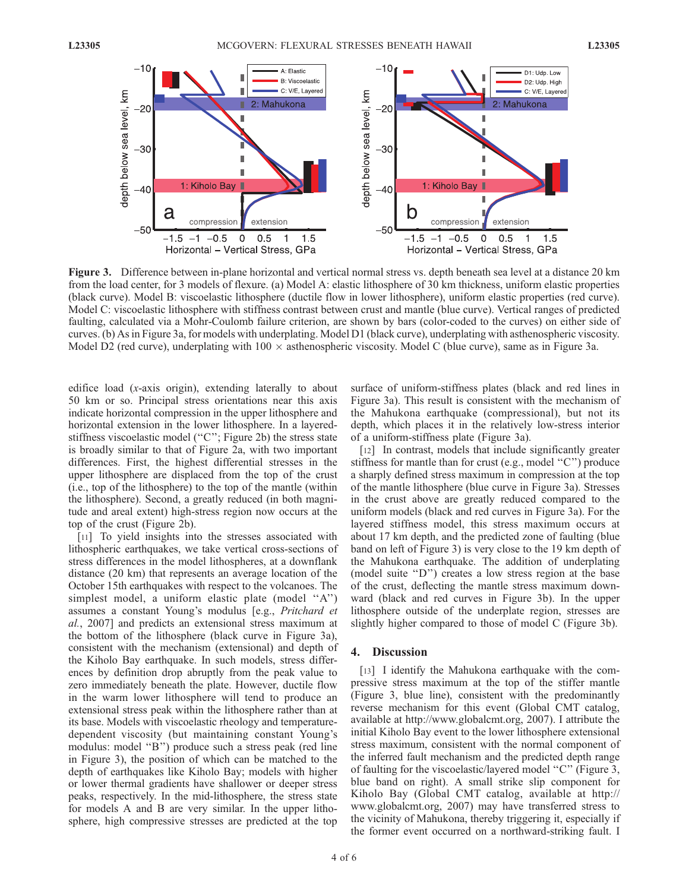

Figure 3. Difference between in-plane horizontal and vertical normal stress vs. depth beneath sea level at a distance 20 km from the load center, for 3 models of flexure. (a) Model A: elastic lithosphere of 30 km thickness, uniform elastic properties (black curve). Model B: viscoelastic lithosphere (ductile flow in lower lithosphere), uniform elastic properties (red curve). Model C: viscoelastic lithosphere with stiffness contrast between crust and mantle (blue curve). Vertical ranges of predicted faulting, calculated via a Mohr-Coulomb failure criterion, are shown by bars (color-coded to the curves) on either side of curves. (b) As in Figure 3a, for models with underplating. Model D1 (black curve), underplating with asthenospheric viscosity. Model D2 (red curve), underplating with  $100 \times$  asthenospheric viscosity. Model C (blue curve), same as in Figure 3a.

edifice load (x-axis origin), extending laterally to about 50 km or so. Principal stress orientations near this axis indicate horizontal compression in the upper lithosphere and horizontal extension in the lower lithosphere. In a layeredstiffness viscoelastic model ("C"; Figure 2b) the stress state is broadly similar to that of Figure 2a, with two important differences. First, the highest differential stresses in the upper lithosphere are displaced from the top of the crust (i.e., top of the lithosphere) to the top of the mantle (within the lithosphere). Second, a greatly reduced (in both magnitude and areal extent) high-stress region now occurs at the top of the crust (Figure 2b).

[11] To yield insights into the stresses associated with lithospheric earthquakes, we take vertical cross-sections of stress differences in the model lithospheres, at a downflank distance (20 km) that represents an average location of the October 15th earthquakes with respect to the volcanoes. The simplest model, a uniform elastic plate (model "A") assumes a constant Young's modulus [e.g., Pritchard et al., 2007] and predicts an extensional stress maximum at the bottom of the lithosphere (black curve in Figure 3a), consistent with the mechanism (extensional) and depth of the Kiholo Bay earthquake. In such models, stress differences by definition drop abruptly from the peak value to zero immediately beneath the plate. However, ductile flow in the warm lower lithosphere will tend to produce an extensional stress peak within the lithosphere rather than at its base. Models with viscoelastic rheology and temperaturedependent viscosity (but maintaining constant Young's modulus: model ''B'') produce such a stress peak (red line in Figure 3), the position of which can be matched to the depth of earthquakes like Kiholo Bay; models with higher or lower thermal gradients have shallower or deeper stress peaks, respectively. In the mid-lithosphere, the stress state for models A and B are very similar. In the upper lithosphere, high compressive stresses are predicted at the top

surface of uniform-stiffness plates (black and red lines in Figure 3a). This result is consistent with the mechanism of the Mahukona earthquake (compressional), but not its depth, which places it in the relatively low-stress interior of a uniform-stiffness plate (Figure 3a).

[12] In contrast, models that include significantly greater stiffness for mantle than for crust (e.g., model ''C'') produce a sharply defined stress maximum in compression at the top of the mantle lithosphere (blue curve in Figure 3a). Stresses in the crust above are greatly reduced compared to the uniform models (black and red curves in Figure 3a). For the layered stiffness model, this stress maximum occurs at about 17 km depth, and the predicted zone of faulting (blue band on left of Figure 3) is very close to the 19 km depth of the Mahukona earthquake. The addition of underplating (model suite ''D'') creates a low stress region at the base of the crust, deflecting the mantle stress maximum downward (black and red curves in Figure 3b). In the upper lithosphere outside of the underplate region, stresses are slightly higher compared to those of model C (Figure 3b).

#### 4. Discussion

[13] I identify the Mahukona earthquake with the compressive stress maximum at the top of the stiffer mantle (Figure 3, blue line), consistent with the predominantly reverse mechanism for this event (Global CMT catalog, available at http://www.globalcmt.org, 2007). I attribute the initial Kiholo Bay event to the lower lithosphere extensional stress maximum, consistent with the normal component of the inferred fault mechanism and the predicted depth range of faulting for the viscoelastic/layered model ''C'' (Figure 3, blue band on right). A small strike slip component for Kiholo Bay (Global CMT catalog, available at http:// www.globalcmt.org, 2007) may have transferred stress to the vicinity of Mahukona, thereby triggering it, especially if the former event occurred on a northward-striking fault. I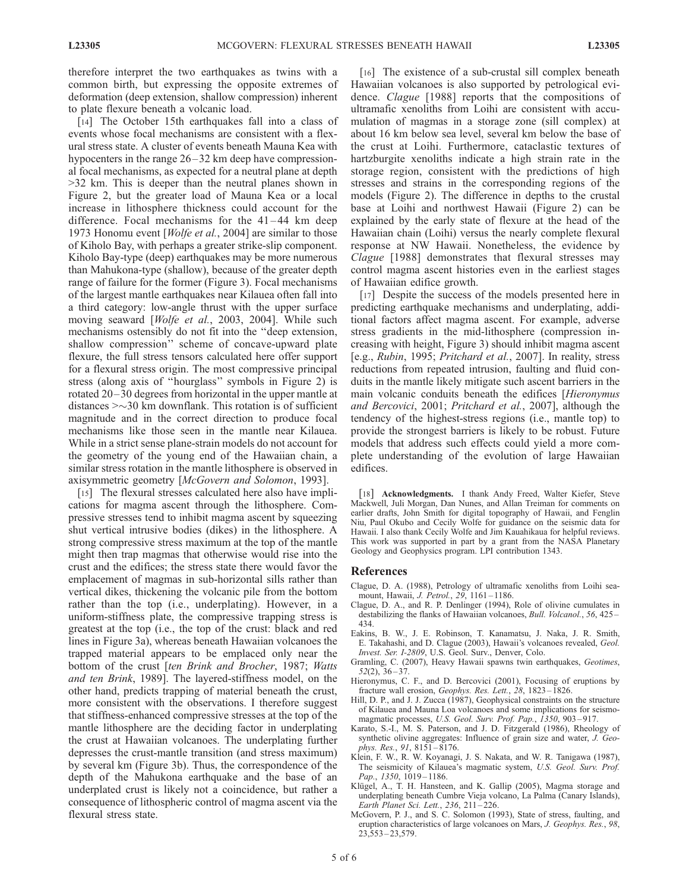therefore interpret the two earthquakes as twins with a common birth, but expressing the opposite extremes of deformation (deep extension, shallow compression) inherent to plate flexure beneath a volcanic load.

[14] The October 15th earthquakes fall into a class of events whose focal mechanisms are consistent with a flexural stress state. A cluster of events beneath Mauna Kea with hypocenters in the range  $26 - 32$  km deep have compressional focal mechanisms, as expected for a neutral plane at depth >32 km. This is deeper than the neutral planes shown in Figure 2, but the greater load of Mauna Kea or a local increase in lithosphere thickness could account for the difference. Focal mechanisms for the  $41-44$  km deep 1973 Honomu event [Wolfe et al., 2004] are similar to those of Kiholo Bay, with perhaps a greater strike-slip component. Kiholo Bay-type (deep) earthquakes may be more numerous than Mahukona-type (shallow), because of the greater depth range of failure for the former (Figure 3). Focal mechanisms of the largest mantle earthquakes near Kilauea often fall into a third category: low-angle thrust with the upper surface moving seaward [Wolfe et al., 2003, 2004]. While such mechanisms ostensibly do not fit into the ''deep extension, shallow compression'' scheme of concave-upward plate flexure, the full stress tensors calculated here offer support for a flexural stress origin. The most compressive principal stress (along axis of ''hourglass'' symbols in Figure 2) is rotated 20–30 degrees from horizontal in the upper mantle at distances  $\geq$   $\sim$  30 km downflank. This rotation is of sufficient magnitude and in the correct direction to produce focal mechanisms like those seen in the mantle near Kilauea. While in a strict sense plane-strain models do not account for the geometry of the young end of the Hawaiian chain, a similar stress rotation in the mantle lithosphere is observed in axisymmetric geometry [McGovern and Solomon, 1993].

[15] The flexural stresses calculated here also have implications for magma ascent through the lithosphere. Compressive stresses tend to inhibit magma ascent by squeezing shut vertical intrusive bodies (dikes) in the lithosphere. A strong compressive stress maximum at the top of the mantle might then trap magmas that otherwise would rise into the crust and the edifices; the stress state there would favor the emplacement of magmas in sub-horizontal sills rather than vertical dikes, thickening the volcanic pile from the bottom rather than the top (i.e., underplating). However, in a uniform-stiffness plate, the compressive trapping stress is greatest at the top (i.e., the top of the crust: black and red lines in Figure 3a), whereas beneath Hawaiian volcanoes the trapped material appears to be emplaced only near the bottom of the crust [ten Brink and Brocher, 1987; Watts and ten Brink, 1989]. The layered-stiffness model, on the other hand, predicts trapping of material beneath the crust, more consistent with the observations. I therefore suggest that stiffness-enhanced compressive stresses at the top of the mantle lithosphere are the deciding factor in underplating the crust at Hawaiian volcanoes. The underplating further depresses the crust-mantle transition (and stress maximum) by several km (Figure 3b). Thus, the correspondence of the depth of the Mahukona earthquake and the base of an underplated crust is likely not a coincidence, but rather a consequence of lithospheric control of magma ascent via the flexural stress state.

[16] The existence of a sub-crustal sill complex beneath Hawaiian volcanoes is also supported by petrological evidence. Clague [1988] reports that the compositions of ultramafic xenoliths from Loihi are consistent with accumulation of magmas in a storage zone (sill complex) at about 16 km below sea level, several km below the base of the crust at Loihi. Furthermore, cataclastic textures of hartzburgite xenoliths indicate a high strain rate in the storage region, consistent with the predictions of high stresses and strains in the corresponding regions of the models (Figure 2). The difference in depths to the crustal base at Loihi and northwest Hawaii (Figure 2) can be explained by the early state of flexure at the head of the Hawaiian chain (Loihi) versus the nearly complete flexural response at NW Hawaii. Nonetheless, the evidence by Clague [1988] demonstrates that flexural stresses may control magma ascent histories even in the earliest stages of Hawaiian edifice growth.

[17] Despite the success of the models presented here in predicting earthquake mechanisms and underplating, additional factors affect magma ascent. For example, adverse stress gradients in the mid-lithosphere (compression increasing with height, Figure 3) should inhibit magma ascent [e.g., Rubin, 1995; Pritchard et al., 2007]. In reality, stress reductions from repeated intrusion, faulting and fluid conduits in the mantle likely mitigate such ascent barriers in the main volcanic conduits beneath the edifices [Hieronymus and Bercovici, 2001; Pritchard et al., 2007], although the tendency of the highest-stress regions (i.e., mantle top) to provide the strongest barriers is likely to be robust. Future models that address such effects could yield a more complete understanding of the evolution of large Hawaiian edifices.

[18] Acknowledgments. I thank Andy Freed, Walter Kiefer, Steve Mackwell, Juli Morgan, Dan Nunes, and Allan Treiman for comments on earlier drafts, John Smith for digital topography of Hawaii, and Fenglin Niu, Paul Okubo and Cecily Wolfe for guidance on the seismic data for Hawaii. I also thank Cecily Wolfe and Jim Kauahikaua for helpful reviews. This work was supported in part by a grant from the NASA Planetary Geology and Geophysics program. LPI contribution 1343.

#### References

- Clague, D. A. (1988), Petrology of ultramafic xenoliths from Loihi seamount, Hawaii, J. Petrol., 29, 1161-1186.
- Clague, D. A., and R. P. Denlinger (1994), Role of olivine cumulates in destabilizing the flanks of Hawaiian volcanoes, Bull. Volcanol., 56, 425 – 434.
- Eakins, B. W., J. E. Robinson, T. Kanamatsu, J. Naka, J. R. Smith, E. Takahashi, and D. Clague (2003), Hawaii's volcanoes revealed, Geol. Invest. Ser. I-2809, U.S. Geol. Surv., Denver, Colo.
- Gramling, C. (2007), Heavy Hawaii spawns twin earthquakes, Geotimes,  $52(2)$ ,  $36 - 37$ .
- Hieronymus, C. F., and D. Bercovici (2001), Focusing of eruptions by fracture wall erosion, Geophys. Res. Lett., 28, 1823 – 1826.
- Hill, D. P., and J. J. Zucca (1987), Geophysical constraints on the structure of Kilauea and Mauna Loa volcanoes and some implications for seismomagmatic processes, U.S. Geol. Surv. Prof. Pap., 1350, 903-917.
- Karato, S.-I., M. S. Paterson, and J. D. Fitzgerald (1986), Rheology of synthetic olivine aggregates: Influence of grain size and water, *J. Geo*phys. Res., 91, 8151 – 8176.
- Klein, F. W., R. W. Koyanagi, J. S. Nakata, and W. R. Tanigawa (1987), The seismicity of Kilauea's magmatic system, U.S. Geol. Surv. Prof. Pap., 1350, 1019-1186.
- Klügel, A., T. H. Hansteen, and K. Gallip (2005), Magma storage and underplating beneath Cumbre Vieja volcano, La Palma (Canary Islands), Earth Planet Sci. Lett., 236, 211 – 226.
- McGovern, P. J., and S. C. Solomon (1993), State of stress, faulting, and eruption characteristics of large volcanoes on Mars, J. Geophys. Res., 98, 23,553 – 23,579.